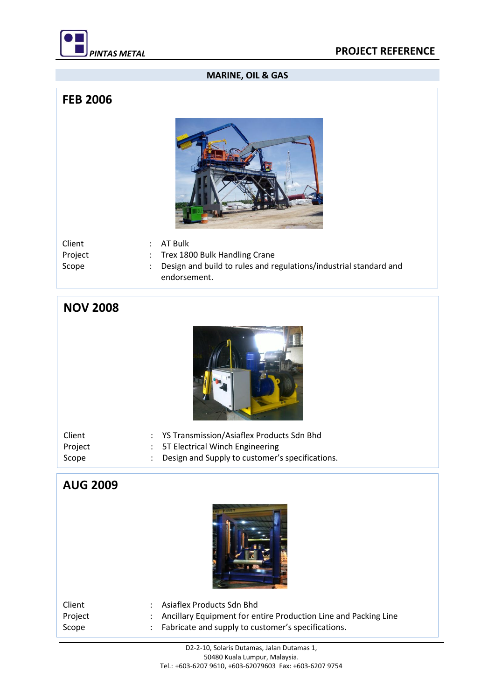

#### **MARINE, OIL & GAS**

#### **FEB 2006**



| Client  | $:$ AT Bulk                                                         |
|---------|---------------------------------------------------------------------|
| Project | : Trex 1800 Bulk Handling Crane                                     |
| Scope   | : Design and build to rules and regulations/industrial standard and |
|         | endorsement.                                                        |

# **NOV 2008**



| Client  | : YS Transmission/Asiaflex Products Sdn Bhd       |
|---------|---------------------------------------------------|
| Project | : 5T Electrical Winch Engineering                 |
| Scope   | : Design and Supply to customer's specifications. |

## **AUG 2009**



| Client  | Asiaflex Products Sdn Bhd                                         |
|---------|-------------------------------------------------------------------|
| Project | : Ancillary Equipment for entire Production Line and Packing Line |
| Scope   | Fabricate and supply to customer's specifications.                |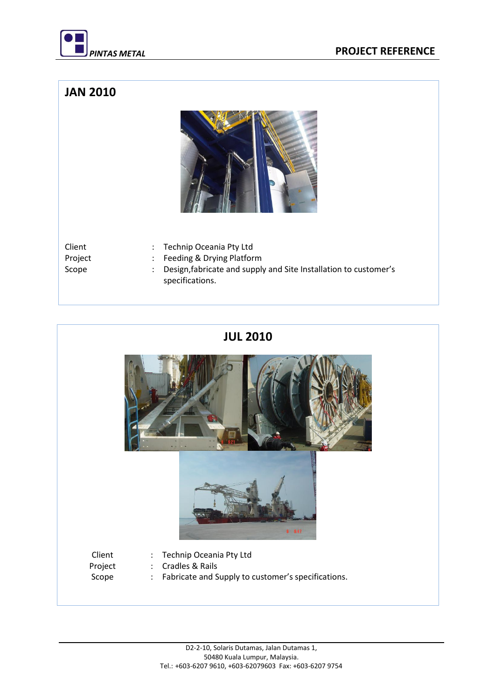

#### **JAN 2010**



Project : Feeding & Drying Platform

- Client : Technip Oceania Pty Ltd
	-
- Scope : Design,fabricate and supply and Site Installation to customer's specifications.

## **JUL 2010**

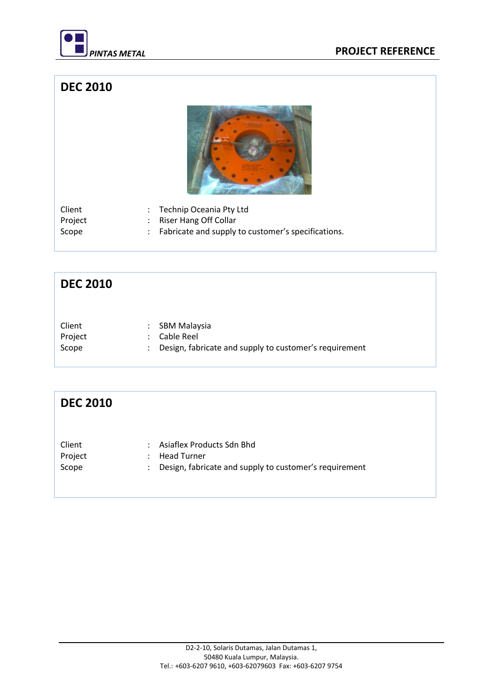

### **DEC 2010**



| Client  | : Technip Oceania Pty Ltd                            |
|---------|------------------------------------------------------|
| Project | Riser Hang Off Collar                                |
| Scope   | : Fabricate and supply to customer's specifications. |

# **DEC 2010**

| Client  | : SBM Malaysia                                           |
|---------|----------------------------------------------------------|
| Project | : Cable Reel                                             |
| Scope   | : Design, fabricate and supply to customer's requirement |

| <b>DEC 2010</b>            |                                                                                                                                  |
|----------------------------|----------------------------------------------------------------------------------------------------------------------------------|
| Client<br>Project<br>Scope | Asiaflex Products Sdn Bhd<br>$\bullet$<br><b>Head Turner</b><br>٠<br>Design, fabricate and supply to customer's requirement<br>÷ |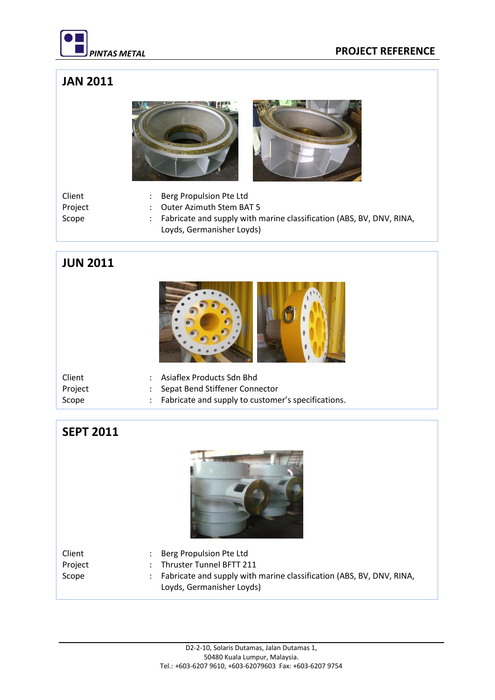

# **JAN 2011**



- Client : Berg Propulsion Pte Ltd
- Project : Outer Azimuth Stem BAT 5<br>Scope : Fabricate and supply with r
	- : Fabricate and supply with marine classification (ABS, BV, DNV, RINA, Loyds, Germanisher Loyds)

## **JUN 2011**



| Client  | : Asiaflex Products Sdn Bhd                          |
|---------|------------------------------------------------------|
| Project | : Sepat Bend Stiffener Connector                     |
| Scope   | : Fabricate and supply to customer's specifications. |

#### **SEPT 2011**



| Client  | : Berg Propulsion Pte Ltd                                              |
|---------|------------------------------------------------------------------------|
| Project | Thruster Tunnel BFTT 211                                               |
| Scope   | : Fabricate and supply with marine classification (ABS, BV, DNV, RINA, |
|         | Loyds, Germanisher Loyds)                                              |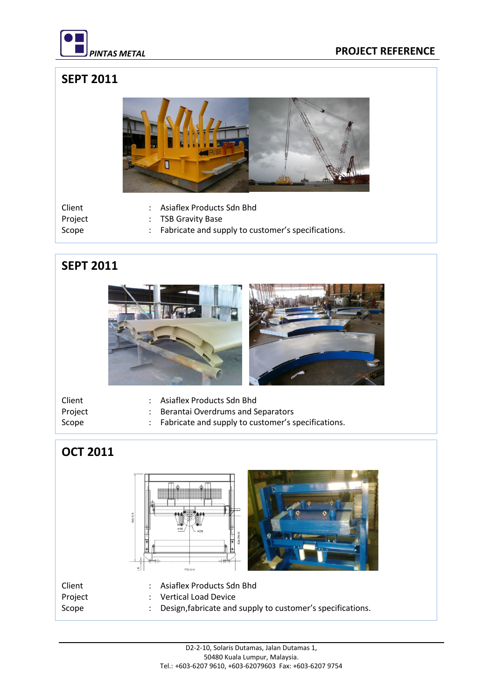

#### *PINTAS METAL* **PROJECT REFERENCE**

# **SEPT 2011**



- Client : Asiaflex Products Sdn Bhd
- Project : TSB Gravity Base
- 
- Scope : Fabricate and supply to customer's specifications.

#### **SEPT 2011**



- Client : Asiaflex Products Sdn Bhd
- Project : Berantai Overdrums and Separators
- 
- 
- Scope : Fabricate and supply to customer's specifications.

# **OCT 2011**

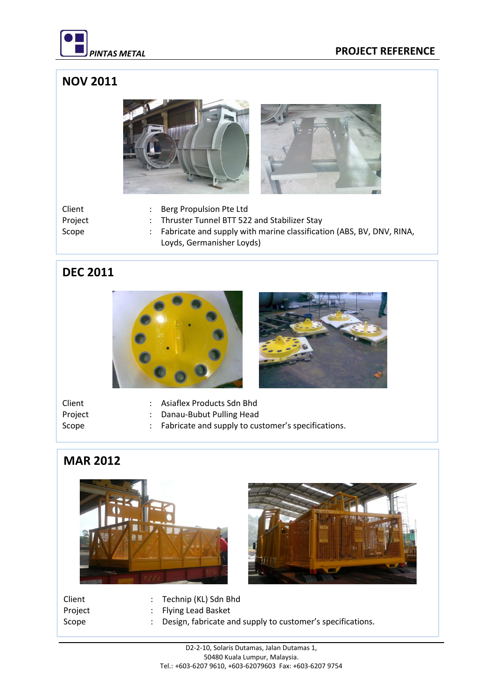

## **NOV 2011**



Client : Berg Propulsion Pte Ltd Project : Thruster Tunnel BTT 522 and Stabilizer Stay Scope : Fabricate and supply with marine classification (ABS, BV, DNV, RINA, Loyds, Germanisher Loyds)

#### **DEC 2011**





| Client  | : Asiaflex Products Sdn Bhd                          |
|---------|------------------------------------------------------|
| Project | : Danau-Bubut Pulling Head                           |
| Scope   | : Fabricate and supply to customer's specifications. |

# **MAR 2012**





- Client : Technip (KL) Sdn Bhd
- Project : Flying Lead Basket
- Scope : Design, fabricate and supply to customer's specifications.